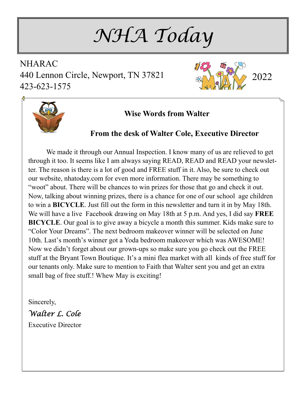*NHA Today* 

NHARAC 440 Lennon Circle, Newport, TN 37821 423-623-1575





### **Wise Words from Walter**

#### **From the desk of Walter Cole, Executive Director**

 We made it through our Annual Inspection. I know many of us are relieved to get through it too. It seems like I am always saying READ, READ and READ your newsletter. The reason is there is a lot of good and FREE stuff in it. Also, be sure to check out our website, nhatoday.com for even more information. There may be something to "woot" about. There will be chances to win prizes for those that go and check it out. Now, talking about winning prizes, there is a chance for one of our school age children to win a **BICYCLE**. Just fill out the form in this newsletter and turn it in by May 18th. We will have a live Facebook drawing on May 18th at 5 p.m. And yes, I did say **FREE BICYCLE**. Our goal is to give away a bicycle a month this summer. Kids make sure to "Color Your Dreams". The next bedroom makeover winner will be selected on June 10th. Last's month's winner got a Yoda bedroom makeover which was AWESOME! Now we didn't forget about our grown-ups so make sure you go check out the FREE stuff at the Bryant Town Boutique. It's a mini flea market with all kinds of free stuff for our tenants only. Make sure to mention to Faith that Walter sent you and get an extra small bag of free stuff.! Whew May is exciting!

Sincerely,

*Walter L. Cole*  Executive Director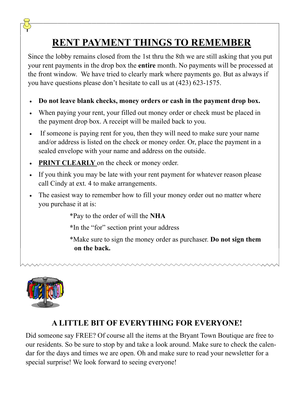# **RENT PAYMENT THINGS TO REMEMBER**

Since the lobby remains closed from the 1st thru the 8th we are still asking that you put your rent payments in the drop box the **entire** month. No payments will be processed at the front window. We have tried to clearly mark where payments go. But as always if you have questions please don't hesitate to call us at (423) 623-1575.

- **Do not leave blank checks, money orders or cash in the payment drop box.**
- When paying your rent, your filled out money order or check must be placed in the payment drop box. A receipt will be mailed back to you.
- If someone is paying rent for you, then they will need to make sure your name and/or address is listed on the check or money order. Or, place the payment in a sealed envelope with your name and address on the outside.
- **PRINT CLEARLY** on the check or money order.
- If you think you may be late with your rent payment for whatever reason please call Cindy at ext. 4 to make arrangements.
- The easiest way to remember how to fill your money order out no matter where you purchase it at is:

\*Pay to the order of will the **NHA** 

 **\***In the "for" section print your address

 \*Make sure to sign the money order as purchaser. **Do not sign them on the back.** 



# **A LITTLE BIT OF EVERYTHING FOR EVERYONE!**

Did someone say FREE? Of course all the items at the Bryant Town Boutique are free to our residents. So be sure to stop by and take a look around. Make sure to check the calendar for the days and times we are open. Oh and make sure to read your newsletter for a special surprise! We look forward to seeing everyone!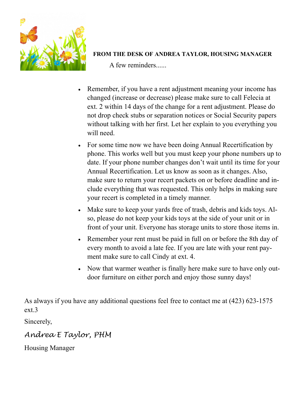

#### **FROM THE DESK OF ANDREA TAYLOR, HOUSING MANAGER**

A few reminders......

- Remember, if you have a rent adjustment meaning your income has changed (increase or decrease) please make sure to call Felecia at ext. 2 within 14 days of the change for a rent adjustment. Please do not drop check stubs or separation notices or Social Security papers without talking with her first. Let her explain to you everything you will need.
- For some time now we have been doing Annual Recertification by phone. This works well but you must keep your phone numbers up to date. If your phone number changes don't wait until its time for your Annual Recertification. Let us know as soon as it changes. Also, make sure to return your recert packets on or before deadline and include everything that was requested. This only helps in making sure your recert is completed in a timely manner.
- Make sure to keep your yards free of trash, debris and kids toys. Also, please do not keep your kids toys at the side of your unit or in front of your unit. Everyone has storage units to store those items in.
- Remember your rent must be paid in full on or before the 8th day of every month to avoid a late fee. If you are late with your rent payment make sure to call Cindy at ext. 4.
- Now that warmer weather is finally here make sure to have only outdoor furniture on either porch and enjoy those sunny days!

As always if you have any additional questions feel free to contact me at (423) 623-1575 ext.3

Sincerely,

## *Andrea E Taylor, PHM*

Housing Manager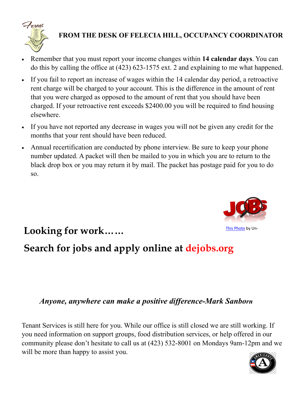

## **FROM THE DESK OF FELECIA HILL, OCCUPANCY COORDINATOR**

- Remember that you must report your income changes within **14 calendar days**. You can do this by calling the office at (423) 623-1575 ext. 2 and explaining to me what happened.
- If you fail to report an increase of wages within the 14 calendar day period, a retroactive rent charge will be charged to your account. This is the difference in the amount of rent that you were charged as opposed to the amount of rent that you should have been charged. If your retroactive rent exceeds \$2400.00 you will be required to find housing elsewhere.
- If you have not reported any decrease in wages you will not be given any credit for the months that your rent should have been reduced.
- Annual recertification are conducted by phone interview. Be sure to keep your phone number updated. A packet will then be mailed to you in which you are to return to the black drop box or you may return it by mail. The packet has postage paid for you to do so.



# Looking for work…… **Looking for work**……

# **Search for jobs and apply online at dejobs.org**

## *Anyone, anywhere can make a positive difference-Mark Sanborn*

Tenant Services is still here for you. While our office is still closed we are still working. If you need information on support groups, food distribution services, or help offered in our community please don't hesitate to call us at (423) 532-8001 on Mondays 9am-12pm and we will be more than happy to assist you.

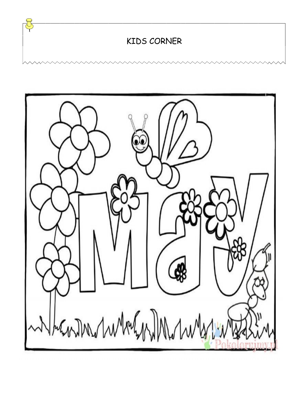KIDS CORNER